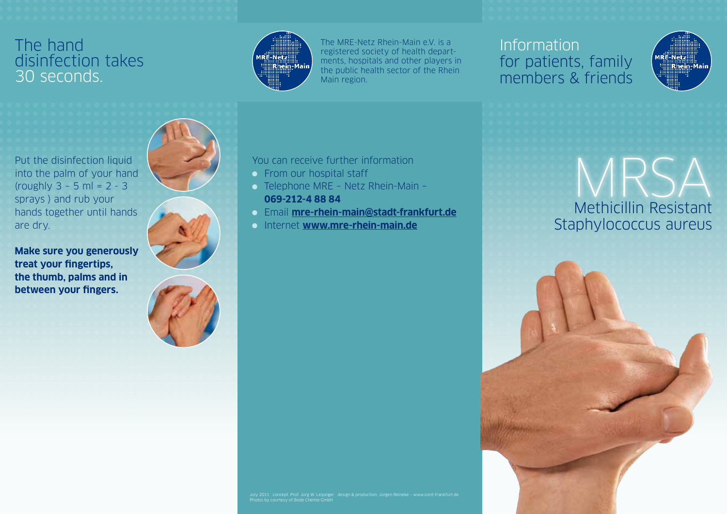#### The hand disinfection takes 30 seconds.

sprays ) and rub your

**treat your fingertips,** 

**between your fingers.**

are dry.



The MRE-Netz Rhein-Main e.V. is a registered society of health departments, hospitals and other players in the public health sector of the Rhein Main region.

### Information for patients, family members & friends



Methicillin Resistant Staphylococcus aureus MRSA



You can receive further information

- **From our hospital staff**
- Telephone MRE Netz Rhein-Main **069-212-4 88 84**
- Email **mre-rhein-main@stadt-frankfurt.de**
- Internet **www.mre-rhein-main.de**

July 2011 concept: Prof. Jürg W. Leipziger design & production: Jürgen Reineke – www.cord-frankfurt.de Photos by courtesy of Bode Chemie GmbH